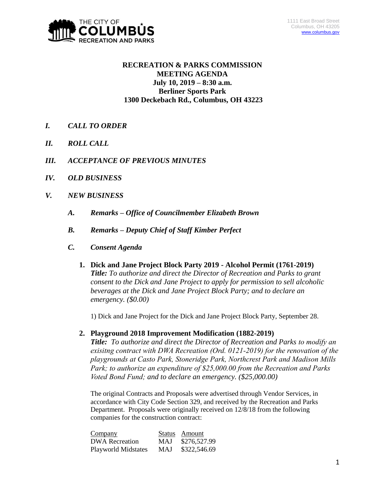

# **RECREATION & PARKS COMMISSION MEETING AGENDA July 10, 2019 – 8:30 a.m. Berliner Sports Park 1300 Deckebach Rd., Columbus, OH 43223**

- *I. CALL TO ORDER*
- *II. ROLL CALL*
- *III. ACCEPTANCE OF PREVIOUS MINUTES*
- *IV. OLD BUSINESS*
- *V. NEW BUSINESS*
	- *A. Remarks – Office of Councilmember Elizabeth Brown*
	- *B. Remarks – Deputy Chief of Staff Kimber Perfect*
	- *C. Consent Agenda* 
		- **1. Dick and Jane Project Block Party 2019 - Alcohol Permit (1761-2019)** *Title: To authorize and direct the Director of Recreation and Parks to grant consent to the Dick and Jane Project to apply for permission to sell alcoholic beverages at the Dick and Jane Project Block Party; and to declare an emergency. (\$0.00)*

1) Dick and Jane Project for the Dick and Jane Project Block Party, September 28.

**2. Playground 2018 Improvement Modification (1882-2019)**

*Title: To authorize and direct the Director of Recreation and Parks to modify an exisitng contract with DWA Recreation (Ord. 0121-2019) for the renovation of the playgrounds at Casto Park, Stoneridge Park, Northcrest Park and Madison Mills Park; to authorize an expenditure of \$25,000.00 from the Recreation and Parks Voted Bond Fund; and to declare an emergency. (\$25,000.00)*

The original Contracts and Proposals were advertised through Vendor Services, in accordance with City Code Section 329, and received by the Recreation and Parks Department. Proposals were originally received on 12/8/18 from the following companies for the construction contract:

| Company                    |     | Status Amount |
|----------------------------|-----|---------------|
| DWA Recreation             | MAJ | \$276,527.99  |
| <b>Playworld Midstates</b> | MAJ | \$322,546.69  |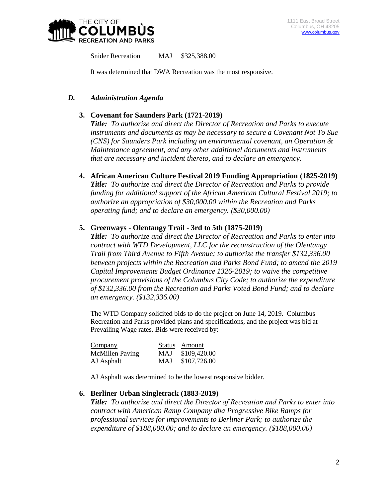

Snider Recreation MAJ \$325,388.00

It was determined that DWA Recreation was the most responsive.

#### *D. Administration Agenda*

### **3. Covenant for Saunders Park (1721-2019)**

*Title: To authorize and direct the Director of Recreation and Parks to execute instruments and documents as may be necessary to secure a Covenant Not To Sue (CNS) for Saunders Park including an environmental covenant, an Operation & Maintenance agreement, and any other additional documents and instruments that are necessary and incident thereto, and to declare an emergency.*

**4. African American Culture Festival 2019 Funding Appropriation (1825-2019)**

*Title: To authorize and direct the Director of Recreation and Parks to provide funding for additional support of the African American Cultural Festival 2019; to authorize an appropriation of \$30,000.00 within the Recreation and Parks operating fund; and to declare an emergency. (\$30,000.00)*

#### **5. Greenways - Olentangy Trail - 3rd to 5th (1875-2019)**

*Title: To authorize and direct the Director of Recreation and Parks to enter into contract with WTD Development, LLC for the reconstruction of the Olentangy Trail from Third Avenue to Fifth Avenue; to authorize the transfer \$132,336.00 between projects within the Recreation and Parks Bond Fund; to amend the 2019 Capital Improvements Budget Ordinance 1326-2019; to waive the competitive procurement provisions of the Columbus City Code; to authorize the expenditure of \$132,336.00 from the Recreation and Parks Voted Bond Fund; and to declare an emergency. (\$132,336.00)*

The WTD Company solicited bids to do the project on June 14, 2019. Columbus Recreation and Parks provided plans and specifications, and the project was bid at Prevailing Wage rates. Bids were received by:

| Company                |            | Status Amount |
|------------------------|------------|---------------|
| <b>McMillen Paving</b> | <b>MAJ</b> | \$109,420.00  |
| AJ Asphalt             | MAJ.       | \$107,726.00  |

AJ Asphalt was determined to be the lowest responsive bidder.

#### **6. Berliner Urban Singletrack (1883-2019)**

*Title: To authorize and direct the Director of Recreation and Parks to enter into contract with American Ramp Company dba Progressive Bike Ramps for professional services for improvements to Berliner Park; to authorize the expenditure of \$188,000.00; and to declare an emergency. (\$188,000.00)*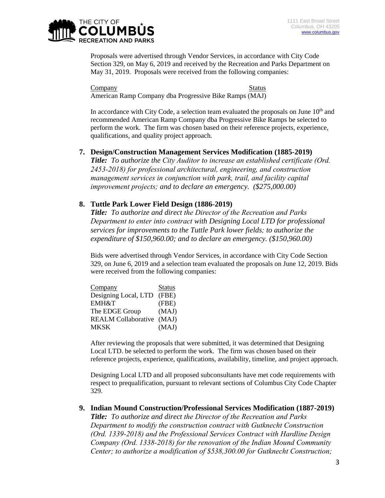

Proposals were advertised through Vendor Services, in accordance with City Code Section 329, on May 6, 2019 and received by the Recreation and Parks Department on May 31, 2019. Proposals were received from the following companies:

Company Status American Ramp Company dba Progressive Bike Ramps (MAJ)

In accordance with City Code, a selection team evaluated the proposals on June  $10<sup>th</sup>$  and recommended American Ramp Company dba Progressive Bike Ramps be selected to perform the work. The firm was chosen based on their reference projects, experience, qualifications, and quality project approach.

## **7. Design/Construction Management Services Modification (1885-2019)**

*Title: To authorize the City Auditor to increase an established certificate (Ord. 2453-2018) for professional architectural, engineering, and construction management services in conjunction with park, trail, and facility capital improvement projects; and to declare an emergency. (\$275,000.00)*

## **8. Tuttle Park Lower Field Design (1886-2019)**

*Title: To authorize and direct the Director of the Recreation and Parks Department to enter into contract with Designing Local LTD for professional services for improvements to the Tuttle Park lower fields; to authorize the expenditure of \$150,960.00; and to declare an emergency. (\$150,960.00)*

Bids were advertised through Vendor Services, in accordance with City Code Section 329, on June 6, 2019 and a selection team evaluated the proposals on June 12, 2019. Bids were received from the following companies:

| Company                   | <b>Status</b> |
|---------------------------|---------------|
| Designing Local, LTD      | (FBE)         |
| EMH&T                     | (FBE)         |
| The EDGE Group            | (MAJ)         |
| REALM Collaborative (MAJ) |               |
| <b>MKSK</b>               | (MAJ)         |

After reviewing the proposals that were submitted, it was determined that Designing Local LTD. be selected to perform the work. The firm was chosen based on their reference projects, experience, qualifications, availability, timeline, and project approach.

Designing Local LTD and all proposed subconsultants have met code requirements with respect to prequalification, pursuant to relevant sections of Columbus City Code Chapter 329.

# **9. Indian Mound Construction/Professional Services Modification (1887-2019)**

*Title: To authorize and direct the Director of the Recreation and Parks Department to modify the construction contract with Gutknecht Construction (Ord. 1339-2018) and the Professional Services Contract with Hardline Design Company (Ord. 1338-2018) for the renovation of the Indian Mound Community Center; to authorize a modification of \$538,300.00 for Gutknecht Construction;*